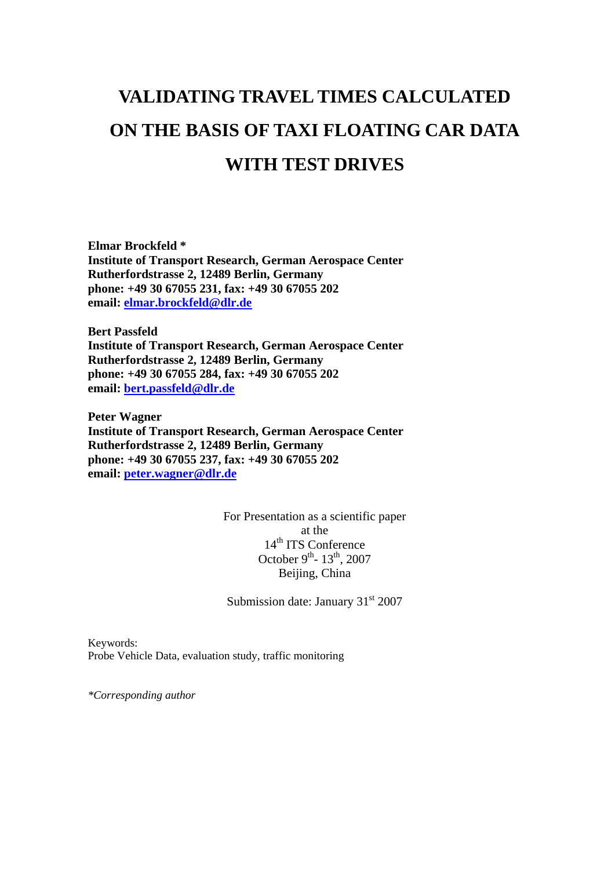# **VALIDATING TRAVEL TIMES CALCULATED ON THE BASIS OF TAXI FLOATING CAR DATA WITH TEST DRIVES**

**Elmar Brockfeld \* Institute of Transport Research, German Aerospace Center Rutherfordstrasse 2, 12489 Berlin, Germany phone: +49 30 67055 231, fax: +49 30 67055 202 email: [elmar.brockfeld@dlr.de](mailto:elmar.brockfeld@dlr.de)**

**Bert Passfeld Institute of Transport Research, German Aerospace Center Rutherfordstrasse 2, 12489 Berlin, Germany phone: +49 30 67055 284, fax: +49 30 67055 202 email: [bert.passfeld@dlr.de](mailto:bert.passfeld@dlr.de)**

**Peter Wagner Institute of Transport Research, German Aerospace Center Rutherfordstrasse 2, 12489 Berlin, Germany phone: +49 30 67055 237, fax: +49 30 67055 202 email: [peter.wagner@dlr.de](mailto:peter.wagner@dlr.de)**

> For Presentation as a scientific paper at the 14<sup>th</sup> ITS Conference October 9<sup>th</sup>- 13<sup>th</sup>, 2007 Beijing, China

Submission date: January  $31<sup>st</sup> 2007$ 

Keywords: Probe Vehicle Data, evaluation study, traffic monitoring

*\*Corresponding author*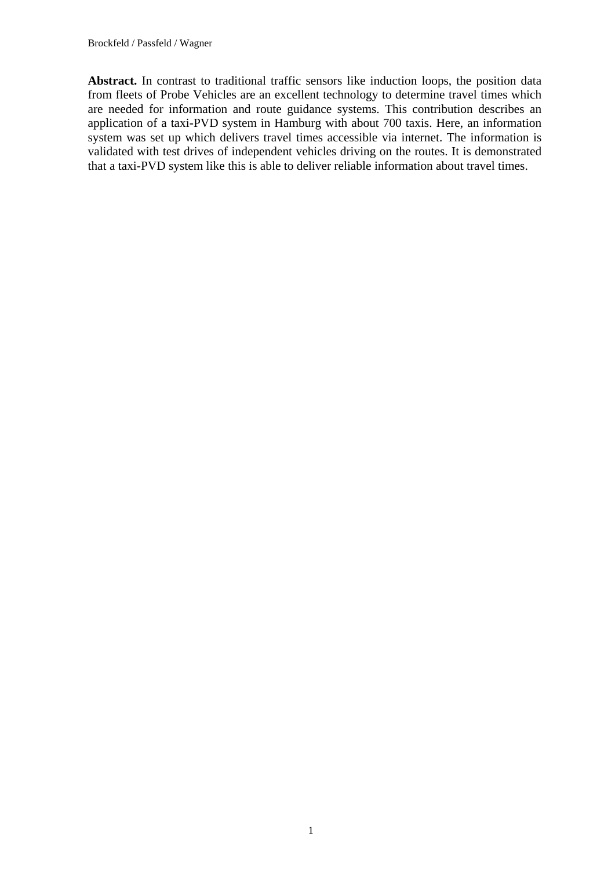Abstract. In contrast to traditional traffic sensors like induction loops, the position data from fleets of Probe Vehicles are an excellent technology to determine travel times which are needed for information and route guidance systems. This contribution describes an application of a taxi-PVD system in Hamburg with about 700 taxis. Here, an information system was set up which delivers travel times accessible via internet. The information is validated with test drives of independent vehicles driving on the routes. It is demonstrated that a taxi-PVD system like this is able to deliver reliable information about travel times.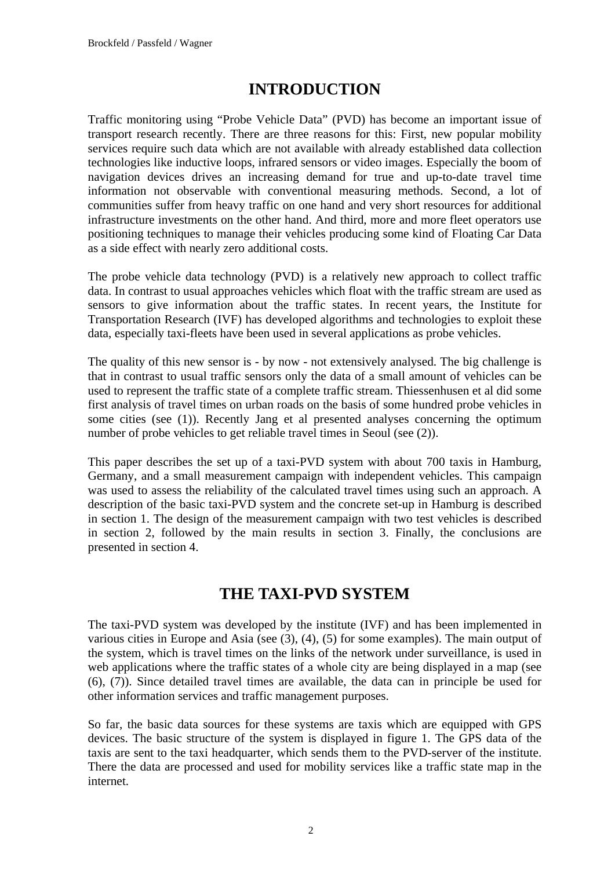## **INTRODUCTION**

Traffic monitoring using "Probe Vehicle Data" (PVD) has become an important issue of transport research recently. There are three reasons for this: First, new popular mobility services require such data which are not available with already established data collection technologies like inductive loops, infrared sensors or video images. Especially the boom of navigation devices drives an increasing demand for true and up-to-date travel time information not observable with conventional measuring methods. Second, a lot of communities suffer from heavy traffic on one hand and very short resources for additional infrastructure investments on the other hand. And third, more and more fleet operators use positioning techniques to manage their vehicles producing some kind of Floating Car Data as a side effect with nearly zero additional costs.

The probe vehicle data technology (PVD) is a relatively new approach to collect traffic data. In contrast to usual approaches vehicles which float with the traffic stream are used as sensors to give information about the traffic states. In recent years, the Institute for Transportation Research (IVF) has developed algorithms and technologies to exploit these data, especially taxi-fleets have been used in several applications as probe vehicles.

The quality of this new sensor is - by now - not extensively analysed. The big challenge is that in contrast to usual traffic sensors only the data of a small amount of vehicles can be used to represent the traffic state of a complete traffic stream. Thiessenhusen et al did some first analysis of travel times on urban roads on the basis of some hundred probe vehicles in some cities (see (1)). Recently Jang et al presented analyses concerning the optimum number of probe vehicles to get reliable travel times in Seoul (see (2)).

This paper describes the set up of a taxi-PVD system with about 700 taxis in Hamburg, Germany, and a small measurement campaign with independent vehicles. This campaign was used to assess the reliability of the calculated travel times using such an approach. A description of the basic taxi-PVD system and the concrete set-up in Hamburg is described in section 1. The design of the measurement campaign with two test vehicles is described in section 2, followed by the main results in section 3. Finally, the conclusions are presented in section 4.

## **THE TAXI-PVD SYSTEM**

The taxi-PVD system was developed by the institute (IVF) and has been implemented in various cities in Europe and Asia (see  $(3)$ ,  $(4)$ ,  $(5)$  for some examples). The main output of the system, which is travel times on the links of the network under surveillance, is used in web applications where the traffic states of a whole city are being displayed in a map (see (6), (7)). Since detailed travel times are available, the data can in principle be used for other information services and traffic management purposes.

So far, the basic data sources for these systems are taxis which are equipped with GPS devices. The basic structure of the system is displayed in figure 1. The GPS data of the taxis are sent to the taxi headquarter, which sends them to the PVD-server of the institute. There the data are processed and used for mobility services like a traffic state map in the internet.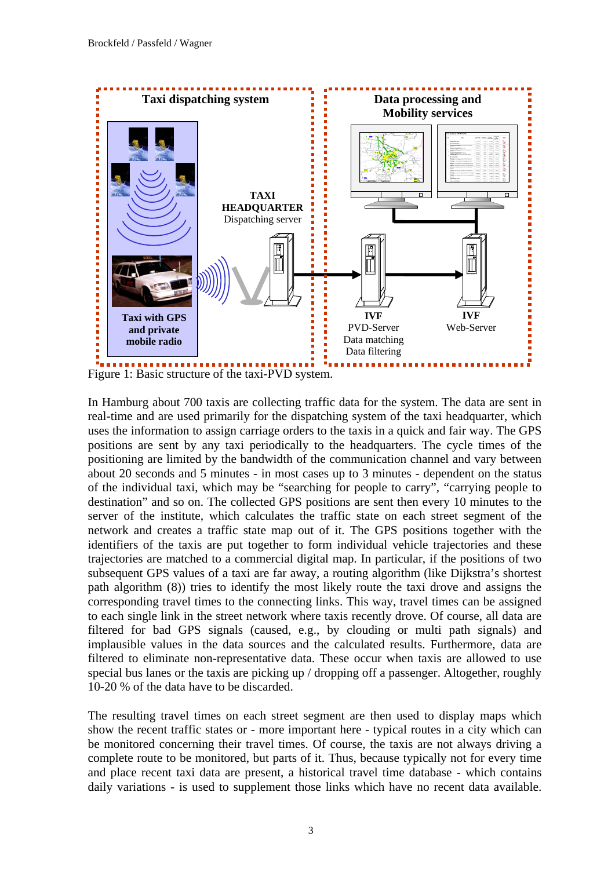

In Hamburg about 700 taxis are collecting traffic data for the system. The data are sent in real-time and are used primarily for the dispatching system of the taxi headquarter, which uses the information to assign carriage orders to the taxis in a quick and fair way. The GPS positions are sent by any taxi periodically to the headquarters. The cycle times of the positioning are limited by the bandwidth of the communication channel and vary between about 20 seconds and 5 minutes - in most cases up to 3 minutes - dependent on the status of the individual taxi, which may be "searching for people to carry", "carrying people to destination" and so on. The collected GPS positions are sent then every 10 minutes to the server of the institute, which calculates the traffic state on each street segment of the network and creates a traffic state map out of it. The GPS positions together with the identifiers of the taxis are put together to form individual vehicle trajectories and these trajectories are matched to a commercial digital map. In particular, if the positions of two subsequent GPS values of a taxi are far away, a routing algorithm (like Dijkstra's shortest path algorithm (8)) tries to identify the most likely route the taxi drove and assigns the corresponding travel times to the connecting links. This way, travel times can be assigned to each single link in the street network where taxis recently drove. Of course, all data are filtered for bad GPS signals (caused, e.g., by clouding or multi path signals) and implausible values in the data sources and the calculated results. Furthermore, data are filtered to eliminate non-representative data. These occur when taxis are allowed to use special bus lanes or the taxis are picking up / dropping off a passenger. Altogether, roughly 10-20 % of the data have to be discarded.

The resulting travel times on each street segment are then used to display maps which show the recent traffic states or - more important here - typical routes in a city which can be monitored concerning their travel times. Of course, the taxis are not always driving a complete route to be monitored, but parts of it. Thus, because typically not for every time and place recent taxi data are present, a historical travel time database - which contains daily variations - is used to supplement those links which have no recent data available.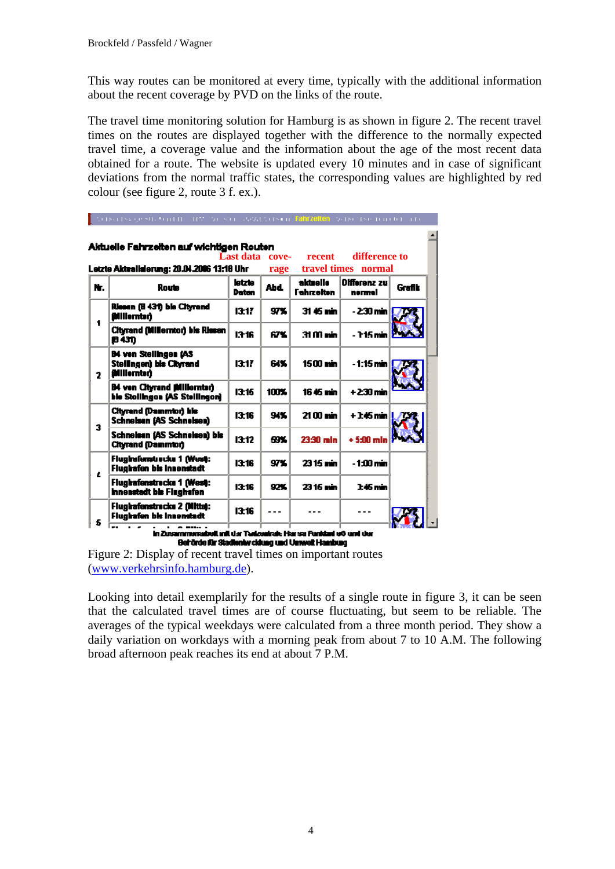This way routes can be monitored at every time, typically with the additional information about the recent coverage by PVD on the links of the route.

The travel time monitoring solution for Hamburg is as shown in figure 2. The recent travel times on the routes are displayed together with the difference to the normally expected travel time, a coverage value and the information about the age of the most recent data obtained for a route. The website is updated every 10 minutes and in case of significant deviations from the normal traffic states, the corresponding values are highlighted by red colour (see figure 2, route 3 f. ex.).

|    | Aktuelle Fahrzeiten auf wichtigen Reuten                                       | Last data cove-        |             | recent                        | difference to                                        |               |
|----|--------------------------------------------------------------------------------|------------------------|-------------|-------------------------------|------------------------------------------------------|---------------|
| Н. | Letzte Aktrailderung: 20.04.2006 13:18 Uhr<br>Route                            | letzte<br><b>Datan</b> | rage<br>Abd | aktuelle<br><b>Fehrzeiten</b> | travel times normal<br><b>Olfferenz zu</b><br>nermel | <b>Grafik</b> |
| 1  | Riesen (B 431) ble Cityrand<br><b>Gilliernter)</b>                             | 1317                   | 97%         | 31 45 min                     | <u>- 230 min l</u>                                   |               |
|    | Cityrand (Millerntor) bis Rissen<br>843D                                       | 1316                   | <b>67%</b>  | 31 M min                      | - 715 min                                            |               |
| 2  | <b>B4 ven Stellingen (AS</b><br>Stellingen) bis Cityrand<br><b>Millernter)</b> | 1317                   | 64%         | 1500 min.                     | - 1:15 min l                                         |               |
|    | <b>B4 ven Cityrand fillillernter)</b><br>ble Stollingon (AS Stellingon)        | 13:15                  | 100%        | 1645 min                      | $+230$ min                                           |               |
|    | <b>Cityrand (Dammior) life</b><br><b>Schneisen (AS Schneisen)</b>              | 13:16                  | 94%         | 2100 min                      | +16mml                                               |               |
| з  | Schneisen (AS Schneisen) bis<br><b>Cityrand (Dammtor)</b>                      | 13:12                  | 59%         | 23:30 mln                     | $+540$ min                                           |               |
| Ł  | Flugirafunduocka 1 (West):<br><b>Flughafen bis Innenstadt</b>                  | 1316                   | 97%         | 2315 min                      | $-100$ min                                           |               |
|    | Flughafenstrecke 1 (West:<br><b>Innestadt ble Finghafen</b>                    | 13:16                  | 92%         | 2316 min                      | 1:46 min                                             |               |
| s  | Flughafenstrocks 2 (Mitte):<br><b>Flughafon bis Innonstadt</b>                 | <b>13:16</b>           |             |                               |                                                      |               |

Figure 2: Display of recent travel times on important routes [\(www.verkehrsinfo.hamburg.de\)](http://www.verkehrsinfo.hamburg.de/).

Looking into detail exemplarily for the results of a single route in figure 3, it can be seen that the calculated travel times are of course fluctuating, but seem to be reliable. The averages of the typical weekdays were calculated from a three month period. They show a daily variation on workdays with a morning peak from about 7 to 10 A.M. The following broad afternoon peak reaches its end at about 7 P.M.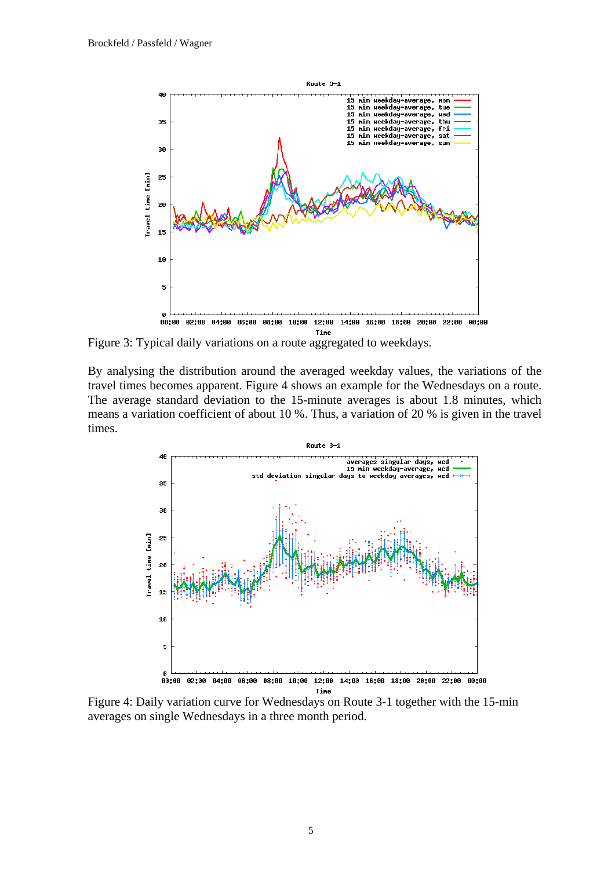

Figure 3: Typical daily variations on a route aggregated to weekdays.

By analysing the distribution around the averaged weekday values, the variations of the travel times becomes apparent. Figure 4 shows an example for the Wednesdays on a route. The average standard deviation to the 15-minute averages is about 1.8 minutes, which means a variation coefficient of about 10 %. Thus, a variation of 20 % is given in the travel times.



Figure 4: Daily variation curve for Wednesdays on Route 3-1 together with the 15-min averages on single Wednesdays in a three month period.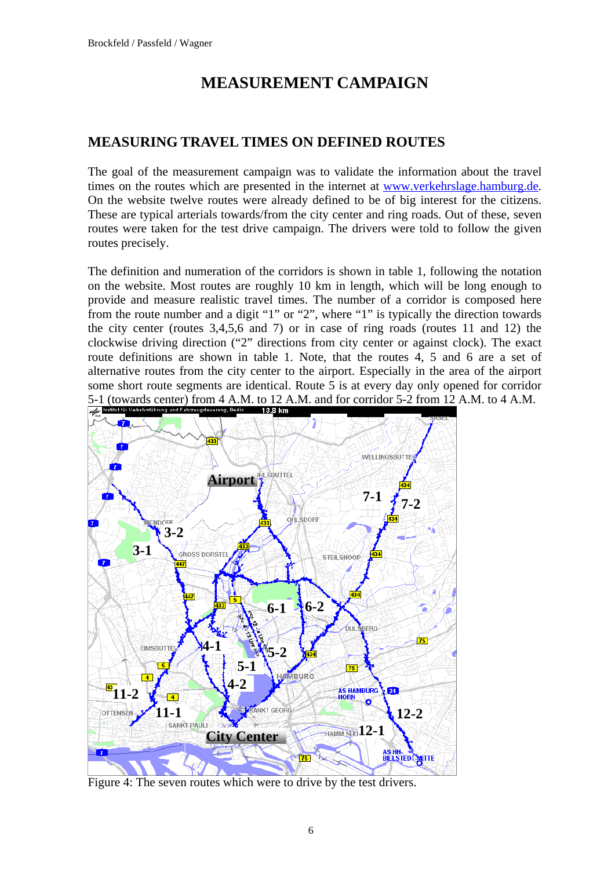## **MEASUREMENT CAMPAIGN**

#### **MEASURING TRAVEL TIMES ON DEFINED ROUTES**

The goal of the measurement campaign was to validate the information about the travel times on the routes which are presented in the internet at [www.verkehrslage.hamburg.de.](http://www.verkehrslage.hamburg.de/) On the website twelve routes were already defined to be of big interest for the citizens. These are typical arterials towards/from the city center and ring roads. Out of these, seven routes were taken for the test drive campaign. The drivers were told to follow the given routes precisely.

The definition and numeration of the corridors is shown in table 1, following the notation on the website. Most routes are roughly 10 km in length, which will be long enough to provide and measure realistic travel times. The number of a corridor is composed here from the route number and a digit "1" or "2", where "1" is typically the direction towards the city center (routes 3,4,5,6 and 7) or in case of ring roads (routes 11 and 12) the clockwise driving direction ("2" directions from city center or against clock). The exact route definitions are shown in table 1. Note, that the routes 4, 5 and 6 are a set of alternative routes from the city center to the airport. Especially in the area of the airport some short route segments are identical. Route 5 is at every day only opened for corridor 5-1 (towards center) from 4 A.M. to 12 A.M. and for corridor 5-2 from 12 A.M. to 4 A.M.<br>  $\frac{1}{\sqrt{2}}$  Institution verkenis timeng and Fahrzeugsteuering, Berlin 18.3 km



Figure 4: The seven routes which were to drive by the test drivers.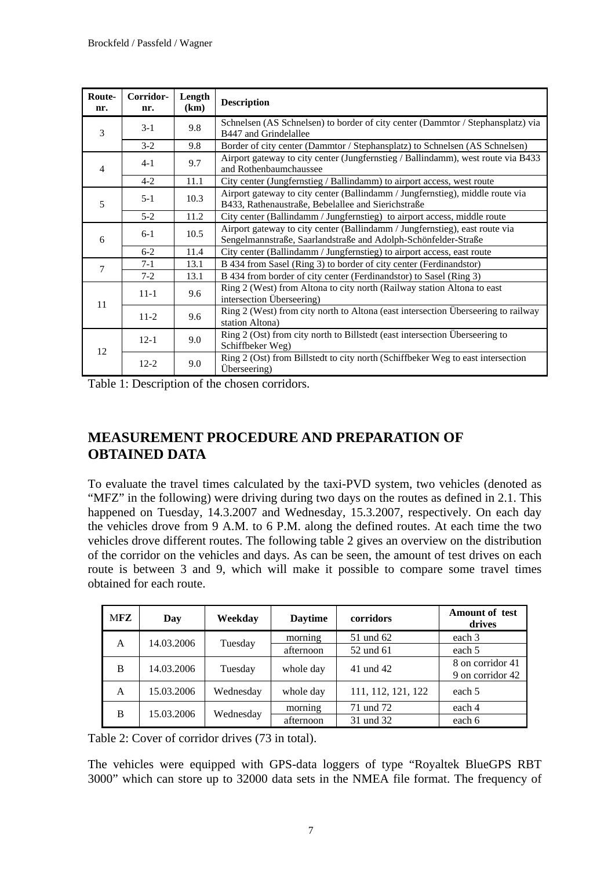| Route-<br>nr.  | Corridor-<br>nr. | Length<br>(km) | <b>Description</b>                                                                                                                            |  |  |
|----------------|------------------|----------------|-----------------------------------------------------------------------------------------------------------------------------------------------|--|--|
| 3              | $3-1$            | 9.8            | Schnelsen (AS Schnelsen) to border of city center (Dammtor / Stephansplatz) via<br>B447 and Grindelallee                                      |  |  |
|                | $3 - 2$          | 9.8            | Border of city center (Dammtor / Stephansplatz) to Schnelsen (AS Schnelsen)                                                                   |  |  |
| $\overline{4}$ | $4 - 1$          | 9.7            | Airport gateway to city center (Jungfernstieg / Ballindamm), west route via B433<br>and Rothenbaumchaussee                                    |  |  |
|                | $4 - 2$          | 11.1           | City center (Jungfernstieg / Ballindamm) to airport access, west route                                                                        |  |  |
| 5              | $5 - 1$          | 10.3           | Airport gateway to city center (Ballindamm / Jungfernstieg), middle route via<br>B433, Rathenaustraße, Bebelallee and Sierichstraße           |  |  |
|                | $5 - 2$          | 11.2           | City center (Ballindamm / Jungfernstieg) to airport access, middle route                                                                      |  |  |
| 6              | $6 - 1$<br>10.5  |                | Airport gateway to city center (Ballindamm / Jungfernstieg), east route via<br>Sengelmannstraße, Saarlandstraße and Adolph-Schönfelder-Straße |  |  |
|                | $6 - 2$          | 11.4           | City center (Ballindamm / Jungfernstieg) to airport access, east route                                                                        |  |  |
| 7              | $7-1$            | 13.1           | B 434 from Sasel (Ring 3) to border of city center (Ferdinandstor)                                                                            |  |  |
|                | $7-2$            | 13.1           | B 434 from border of city center (Ferdinandstor) to Sasel (Ring 3)                                                                            |  |  |
| 11             | $11 - 1$<br>9.6  |                | Ring 2 (West) from Altona to city north (Railway station Altona to east<br>intersection Überseering)                                          |  |  |
|                | $11-2$           | 9.6            | Ring 2 (West) from city north to Altona (east intersection Überseering to railway<br>station Altona)                                          |  |  |
| 12             | $12-1$<br>9.0    |                | Ring 2 (Ost) from city north to Billstedt (east intersection Überseering to<br>Schiffbeker Weg)                                               |  |  |
|                | $12 - 2$         | 9.0            | Ring 2 (Ost) from Billstedt to city north (Schiffbeker Weg to east intersection<br>Überseering)                                               |  |  |

Table 1: Description of the chosen corridors.

#### **MEASUREMENT PROCEDURE AND PREPARATION OF OBTAINED DATA**

To evaluate the travel times calculated by the taxi-PVD system, two vehicles (denoted as "MFZ" in the following) were driving during two days on the routes as defined in 2.1. This happened on Tuesday, 14.3.2007 and Wednesday, 15.3.2007, respectively. On each day the vehicles drove from 9 A.M. to 6 P.M. along the defined routes. At each time the two vehicles drove different routes. The following table 2 gives an overview on the distribution of the corridor on the vehicles and days. As can be seen, the amount of test drives on each route is between 3 and 9, which will make it possible to compare some travel times obtained for each route.

| MFZ | Day        | Weekday   | <b>Daytime</b> | corridors          | <b>Amount of test</b><br>drives      |
|-----|------------|-----------|----------------|--------------------|--------------------------------------|
| A   | 14.03.2006 | Tuesday   | morning        | 51 und 62          | each 3                               |
|     |            |           | afternoon      | 52 und 61          | each 5                               |
| B   | 14.03.2006 | Tuesday   | whole day      | 41 und 42          | 8 on corridor 41<br>9 on corridor 42 |
| A   | 15.03.2006 | Wednesday | whole day      | 111, 112, 121, 122 | each 5                               |
| B   | 15.03.2006 | Wednesday | morning        | 71 und 72          | each 4                               |
|     |            |           | afternoon      | 31 und 32          | each 6                               |

Table 2: Cover of corridor drives (73 in total).

The vehicles were equipped with GPS-data loggers of type "Royaltek BlueGPS RBT 3000" which can store up to 32000 data sets in the NMEA file format. The frequency of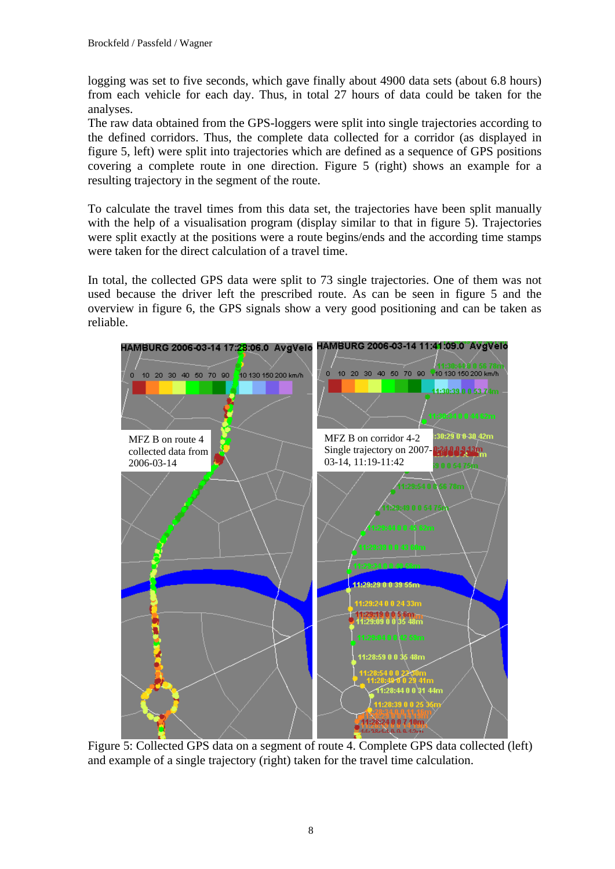logging was set to five seconds, which gave finally about 4900 data sets (about 6.8 hours) from each vehicle for each day. Thus, in total 27 hours of data could be taken for the analyses.

The raw data obtained from the GPS-loggers were split into single trajectories according to the defined corridors. Thus, the complete data collected for a corridor (as displayed in figure 5, left) were split into trajectories which are defined as a sequence of GPS positions covering a complete route in one direction. Figure 5 (right) shows an example for a resulting trajectory in the segment of the route.

To calculate the travel times from this data set, the trajectories have been split manually with the help of a visualisation program (display similar to that in figure 5). Trajectories were split exactly at the positions were a route begins/ends and the according time stamps were taken for the direct calculation of a travel time.

In total, the collected GPS data were split to 73 single trajectories. One of them was not used because the driver left the prescribed route. As can be seen in figure 5 and the overview in figure 6, the GPS signals show a very good positioning and can be taken as reliable.



Figure 5: Collected GPS data on a segment of route 4. Complete GPS data collected (left) and example of a single trajectory (right) taken for the travel time calculation.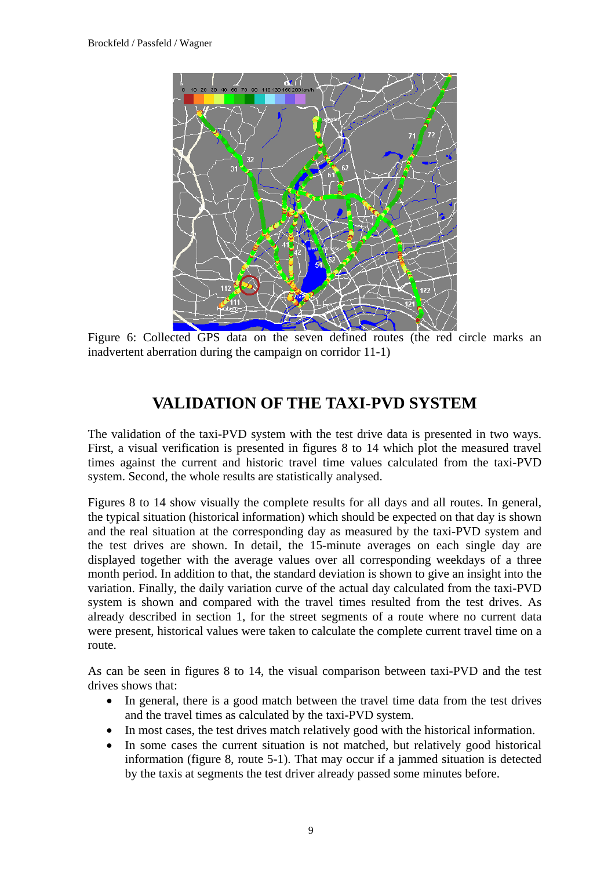

Figure 6: Collected GPS data on the seven defined routes (the red circle marks an inadvertent aberration during the campaign on corridor 11-1)

## **VALIDATION OF THE TAXI-PVD SYSTEM**

The validation of the taxi-PVD system with the test drive data is presented in two ways. First, a visual verification is presented in figures 8 to 14 which plot the measured travel times against the current and historic travel time values calculated from the taxi-PVD system. Second, the whole results are statistically analysed.

Figures 8 to 14 show visually the complete results for all days and all routes. In general, the typical situation (historical information) which should be expected on that day is shown and the real situation at the corresponding day as measured by the taxi-PVD system and the test drives are shown. In detail, the 15-minute averages on each single day are displayed together with the average values over all corresponding weekdays of a three month period. In addition to that, the standard deviation is shown to give an insight into the variation. Finally, the daily variation curve of the actual day calculated from the taxi-PVD system is shown and compared with the travel times resulted from the test drives. As already described in section 1, for the street segments of a route where no current data were present, historical values were taken to calculate the complete current travel time on a route.

As can be seen in figures 8 to 14, the visual comparison between taxi-PVD and the test drives shows that:

- In general, there is a good match between the travel time data from the test drives and the travel times as calculated by the taxi-PVD system.
- In most cases, the test drives match relatively good with the historical information.
- In some cases the current situation is not matched, but relatively good historical information (figure 8, route 5-1). That may occur if a jammed situation is detected by the taxis at segments the test driver already passed some minutes before.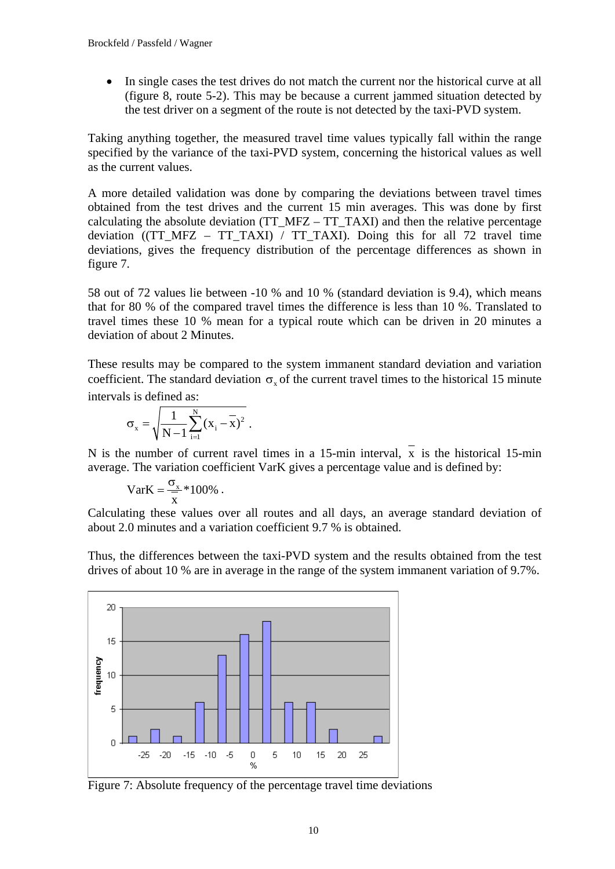In single cases the test drives do not match the current nor the historical curve at all (figure 8, route 5-2). This may be because a current jammed situation detected by the test driver on a segment of the route is not detected by the taxi-PVD system.

Taking anything together, the measured travel time values typically fall within the range specified by the variance of the taxi-PVD system, concerning the historical values as well as the current values.

A more detailed validation was done by comparing the deviations between travel times obtained from the test drives and the current 15 min averages. This was done by first calculating the absolute deviation ( $TT$  MFZ –  $TT$  TAXI) and then the relative percentage deviation ((TT\_MFZ – TT\_TAXI) / TT\_TAXI). Doing this for all 72 travel time deviations, gives the frequency distribution of the percentage differences as shown in figure 7.

58 out of 72 values lie between -10 % and 10 % (standard deviation is 9.4), which means that for 80 % of the compared travel times the difference is less than 10 %. Translated to travel times these 10 % mean for a typical route which can be driven in 20 minutes a deviation of about 2 Minutes.

These results may be compared to the system immanent standard deviation and variation coefficient. The standard deviation  $\sigma_{\rm c}$  of the current travel times to the historical 15 minute intervals is defined as:

$$
\sigma_{x} = \sqrt{\frac{1}{N-1} \sum_{i=1}^{N} (x_{i} - \overline{x})^{2}}.
$$

N is the number of current ravel times in a 15-min interval, x is the historical 15-min average. The variation coefficient VarK gives a percentage value and is defined by:

$$
VarK = \frac{\sigma_x}{x} * 100\% .
$$

Calculating these values over all routes and all days, an average standard deviation of about 2.0 minutes and a variation coefficient 9.7 % is obtained.

Thus, the differences between the taxi-PVD system and the results obtained from the test drives of about 10 % are in average in the range of the system immanent variation of 9.7%.



Figure 7: Absolute frequency of the percentage travel time deviations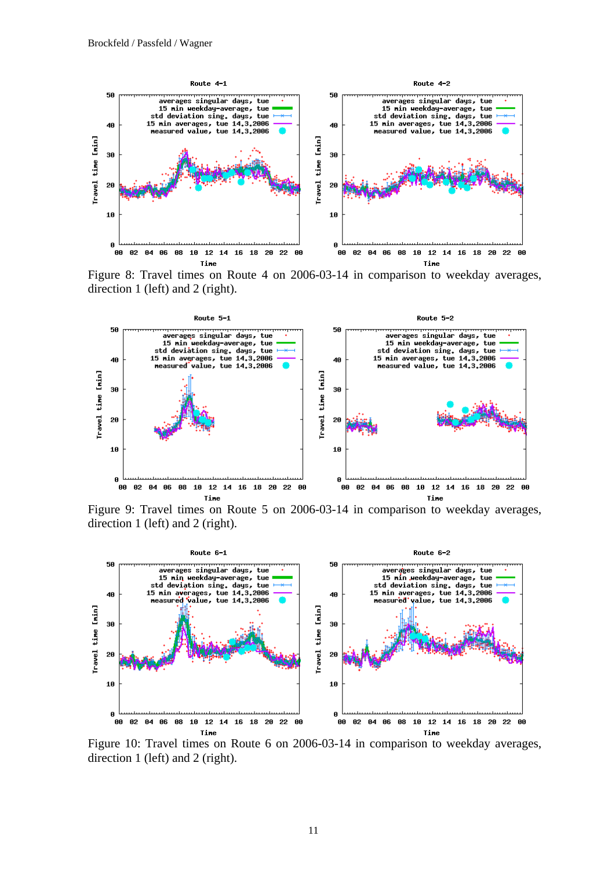

Figure 8: Travel times on Route 4 on 2006-03-14 in comparison to weekday averages, direction 1 (left) and 2 (right).



Figure 9: Travel times on Route 5 on 2006-03-14 in comparison to weekday averages, direction 1 (left) and 2 (right).



Figure 10: Travel times on Route 6 on 2006-03-14 in comparison to weekday averages, direction 1 (left) and 2 (right).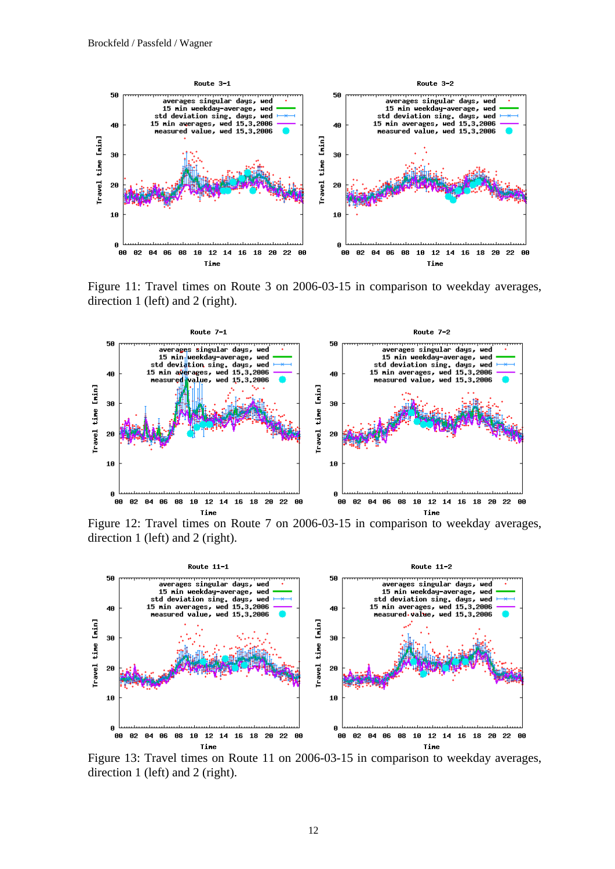

Figure 11: Travel times on Route 3 on 2006-03-15 in comparison to weekday averages, direction 1 (left) and 2 (right).



Figure 12: Travel times on Route 7 on 2006-03-15 in comparison to weekday averages, direction 1 (left) and 2 (right).



Figure 13: Travel times on Route 11 on 2006-03-15 in comparison to weekday averages, direction 1 (left) and 2 (right).